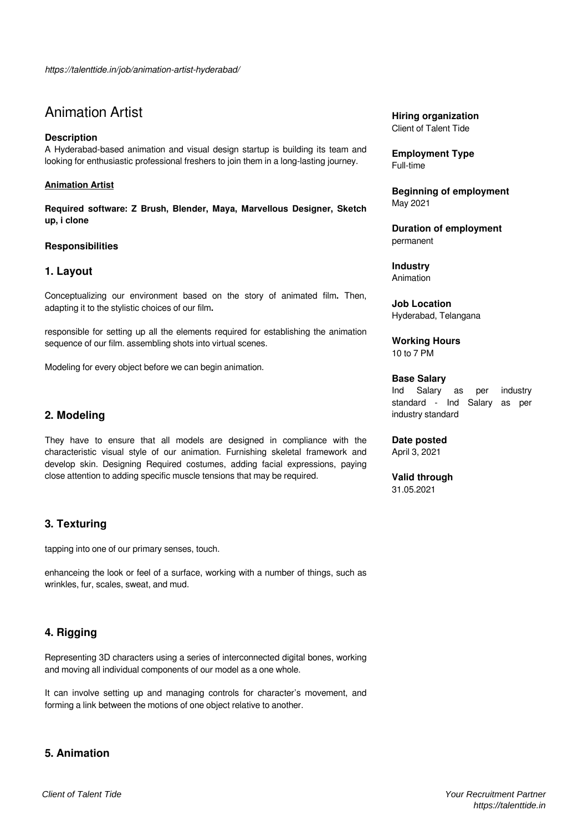# Animation Artist

## **Description**

A Hyderabad-based animation and visual design startup is building its team and looking for enthusiastic professional freshers to join them in a long-lasting journey.

#### **Animation Artist**

**Required software: Z Brush, Blender, Maya, Marvellous Designer, Sketch up, i clone**

#### **Responsibilities**

## **1. Layout**

Conceptualizing our environment based on the story of animated film**.** Then, adapting it to the stylistic choices of our film**.**

responsible for setting up all the elements required for establishing the animation sequence of our film. assembling shots into virtual scenes.

Modeling for every object before we can begin animation.

## **2. Modeling**

They have to ensure that all models are designed in compliance with the characteristic visual style of our animation. Furnishing skeletal framework and develop skin. Designing Required costumes, adding facial expressions, paying close attention to adding specific muscle tensions that may be required.

## **3. Texturing**

tapping into one of our primary senses, touch.

enhanceing the look or feel of a surface, working with a number of things, such as wrinkles, fur, scales, sweat, and mud.

## **4. Rigging**

Representing 3D characters using a series of interconnected digital bones, working and moving all individual components of our model as a one whole.

It can involve setting up and managing controls for character's movement, and forming a link between the motions of one object relative to another.

## **5. Animation**

**Hiring organization** Client of Talent Tide

**Employment Type** Full-time

**Beginning of employment** May 2021

**Duration of employment** permanent

**Industry** Animation

**Job Location** Hyderabad, Telangana

**Working Hours** 10 to 7 PM

#### **Base Salary**

Ind Salary as per industry standard - Ind Salary as per industry standard

## **Date posted**

April 3, 2021

**Valid through** 31.05.2021